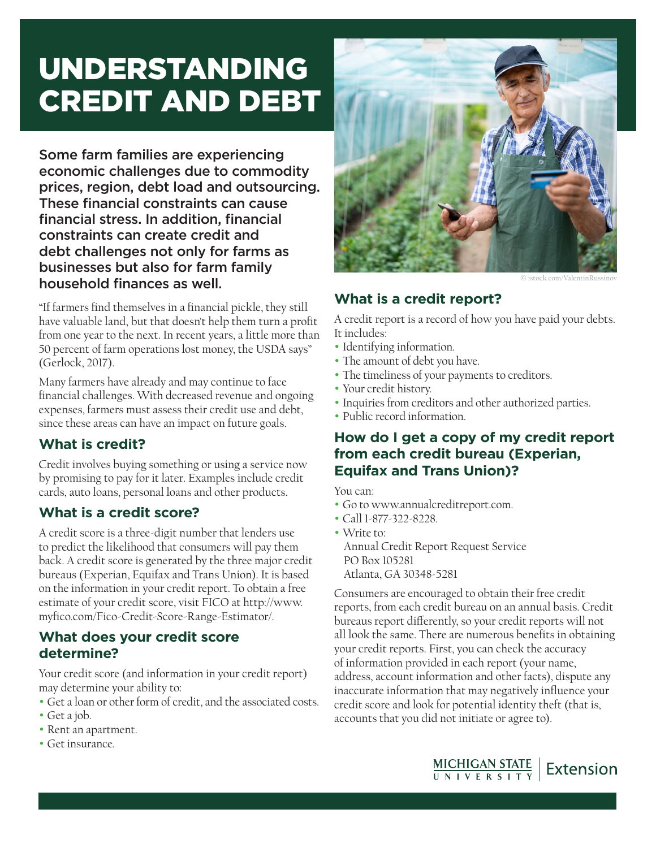# UNDERSTANDING CREDIT AND DEBT

Some farm families are experiencing economic challenges due to commodity prices, region, debt load and outsourcing. These financial constraints can cause financial stress. In addition, financial constraints can create credit and debt challenges not only for farms as businesses but also for farm family household finances as well.

"If farmers find themselves in a financial pickle, they still have valuable land, but that doesn't help them turn a profit from one year to the next. In recent years, a little more than 50 percent of farm operations lost money, the USDA says" (Gerlock, 2017).

Many farmers have already and may continue to face financial challenges. With decreased revenue and ongoing expenses, farmers must assess their credit use and debt, since these areas can have an impact on future goals.

## **What is credit?**

Credit involves buying something or using a service now by promising to pay for it later. Examples include credit cards, auto loans, personal loans and other products.

## **What is a credit score?**

A credit score is a three-digit number that lenders use to predict the likelihood that consumers will pay them back. A credit score is generated by the three major credit bureaus (Experian, Equifax and Trans Union). It is based on the information in your credit report. To obtain a free estimate of your credit score, visit FICO at http://www. myfico.com/Fico-Credit-Score-Range-Estimator/.

#### **What does your credit score determine?**

Your credit score (and information in your credit report) may determine your ability to:

- Get a loan or other form of credit, and the associated costs.
- Get a job.
- Rent an apartment.
- Get insurance.



© istock.com/ValentinRussinov

# **What is a credit report?**

A credit report is a record of how you have paid your debts. It includes:

- Identifying information.
- The amount of debt you have.
- The timeliness of your payments to creditors.
- Your credit history.
- Inquiries from creditors and other authorized parties.
- Public record information.

#### **How do I get a copy of my credit report from each credit bureau (Experian, Equifax and Trans Union)?**

You can:

- Go to www.annualcreditreport.com.
- Call 1-877-322-8228.
- Write to: Annual Credit Report Request Service PO Box 105281 Atlanta, GA 30348-5281

Consumers are encouraged to obtain their free credit reports, from each credit bureau on an annual basis. Credit bureaus report differently, so your credit reports will not all look the same. There are numerous benefits in obtaining your credit reports. First, you can check the accuracy of information provided in each report (your name, address, account information and other facts), dispute any inaccurate information that may negatively influence your credit score and look for potential identity theft (that is, accounts that you did not initiate or agree to).